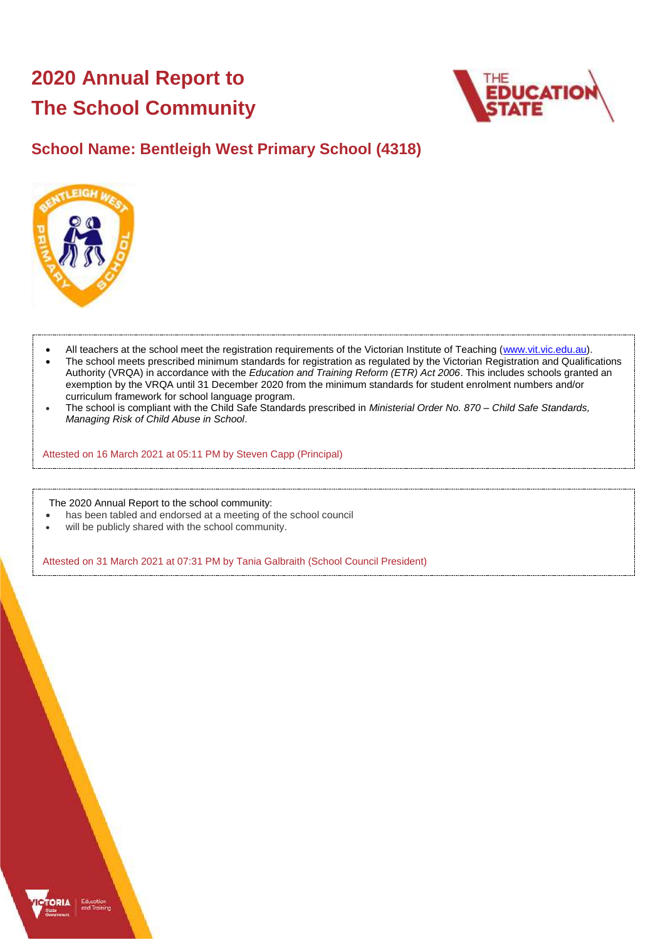# **2020 Annual Report to The School Community**



## **School Name: Bentleigh West Primary School (4318)**



- All teachers at the school meet the registration requirements of the Victorian Institute of Teaching [\(www.vit.vic.edu.au\)](https://www.vit.vic.edu.au/).
- The school meets prescribed minimum standards for registration as regulated by the Victorian Registration and Qualifications Authority (VRQA) in accordance with the *Education and Training Reform (ETR) Act 2006*. This includes schools granted an exemption by the VRQA until 31 December 2020 from the minimum standards for student enrolment numbers and/or curriculum framework for school language program.
- The school is compliant with the Child Safe Standards prescribed in *Ministerial Order No. 870 – Child Safe Standards, Managing Risk of Child Abuse in School*.

Attested on 16 March 2021 at 05:11 PM by Steven Capp (Principal)

The 2020 Annual Report to the school community:

- has been tabled and endorsed at a meeting of the school council
- will be publicly shared with the school community.

Attested on 31 March 2021 at 07:31 PM by Tania Galbraith (School Council President)

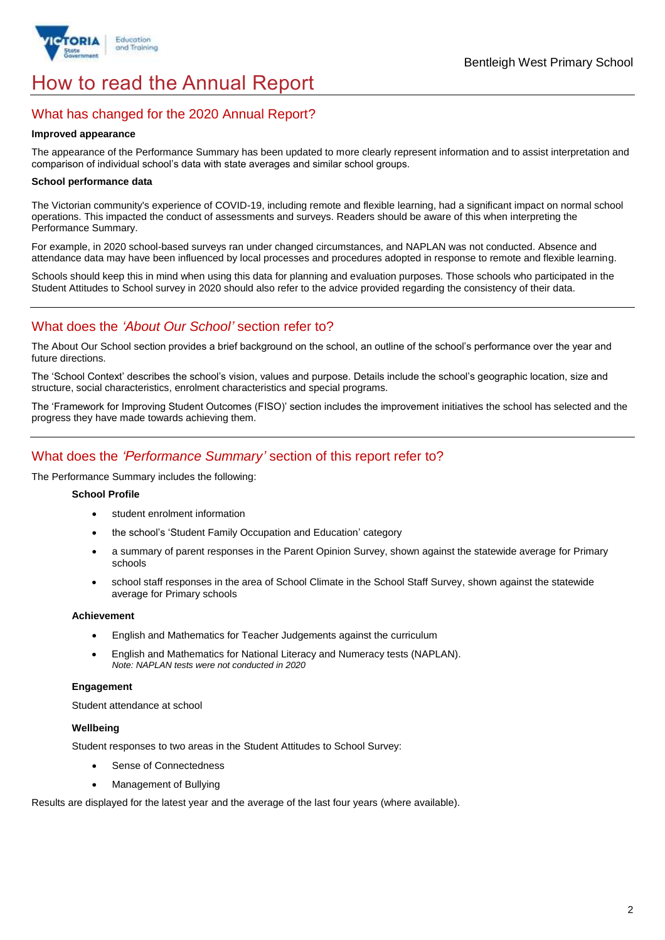

# How to read the Annual Report

## What has changed for the 2020 Annual Report?

#### **Improved appearance**

The appearance of the Performance Summary has been updated to more clearly represent information and to assist interpretation and comparison of individual school's data with state averages and similar school groups.

#### **School performance data**

The Victorian community's experience of COVID-19, including remote and flexible learning, had a significant impact on normal school operations. This impacted the conduct of assessments and surveys. Readers should be aware of this when interpreting the Performance Summary.

For example, in 2020 school-based surveys ran under changed circumstances, and NAPLAN was not conducted. Absence and attendance data may have been influenced by local processes and procedures adopted in response to remote and flexible learning.

Schools should keep this in mind when using this data for planning and evaluation purposes. Those schools who participated in the Student Attitudes to School survey in 2020 should also refer to the advice provided regarding the consistency of their data.

## What does the *'About Our School'* section refer to?

The About Our School section provides a brief background on the school, an outline of the school's performance over the year and future directions.

The 'School Context' describes the school's vision, values and purpose. Details include the school's geographic location, size and structure, social characteristics, enrolment characteristics and special programs.

The 'Framework for Improving Student Outcomes (FISO)' section includes the improvement initiatives the school has selected and the progress they have made towards achieving them.

## What does the *'Performance Summary'* section of this report refer to?

The Performance Summary includes the following:

#### **School Profile**

- student enrolment information
- the school's 'Student Family Occupation and Education' category
- a summary of parent responses in the Parent Opinion Survey, shown against the statewide average for Primary schools
- school staff responses in the area of School Climate in the School Staff Survey, shown against the statewide average for Primary schools

#### **Achievement**

- English and Mathematics for Teacher Judgements against the curriculum
- English and Mathematics for National Literacy and Numeracy tests (NAPLAN). *Note: NAPLAN tests were not conducted in 2020*

## **Engagement**

Student attendance at school

## **Wellbeing**

Student responses to two areas in the Student Attitudes to School Survey:

- Sense of Connectedness
- Management of Bullying

Results are displayed for the latest year and the average of the last four years (where available).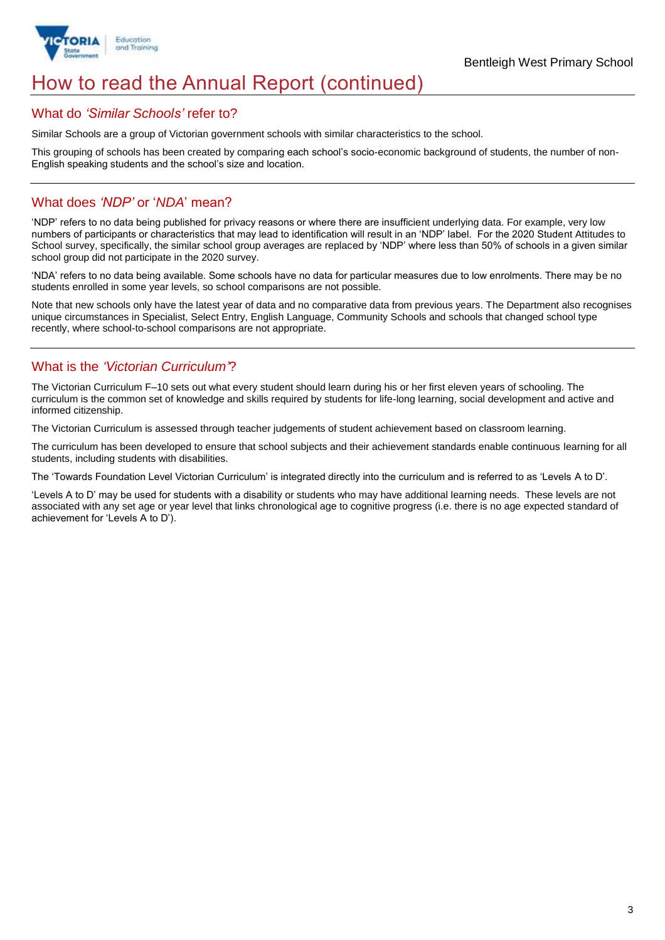

## How to read the Annual Report (continued)

## What do *'Similar Schools'* refer to?

Similar Schools are a group of Victorian government schools with similar characteristics to the school.

This grouping of schools has been created by comparing each school's socio-economic background of students, the number of non-English speaking students and the school's size and location.

## What does *'NDP'* or '*NDA*' mean?

'NDP' refers to no data being published for privacy reasons or where there are insufficient underlying data. For example, very low numbers of participants or characteristics that may lead to identification will result in an 'NDP' label. For the 2020 Student Attitudes to School survey, specifically, the similar school group averages are replaced by 'NDP' where less than 50% of schools in a given similar school group did not participate in the 2020 survey.

'NDA' refers to no data being available. Some schools have no data for particular measures due to low enrolments. There may be no students enrolled in some year levels, so school comparisons are not possible.

Note that new schools only have the latest year of data and no comparative data from previous years. The Department also recognises unique circumstances in Specialist, Select Entry, English Language, Community Schools and schools that changed school type recently, where school-to-school comparisons are not appropriate.

## What is the *'Victorian Curriculum'*?

The Victorian Curriculum F–10 sets out what every student should learn during his or her first eleven years of schooling. The curriculum is the common set of knowledge and skills required by students for life-long learning, social development and active and informed citizenship.

The Victorian Curriculum is assessed through teacher judgements of student achievement based on classroom learning.

The curriculum has been developed to ensure that school subjects and their achievement standards enable continuous learning for all students, including students with disabilities.

The 'Towards Foundation Level Victorian Curriculum' is integrated directly into the curriculum and is referred to as 'Levels A to D'.

'Levels A to D' may be used for students with a disability or students who may have additional learning needs. These levels are not associated with any set age or year level that links chronological age to cognitive progress (i.e. there is no age expected standard of achievement for 'Levels A to D').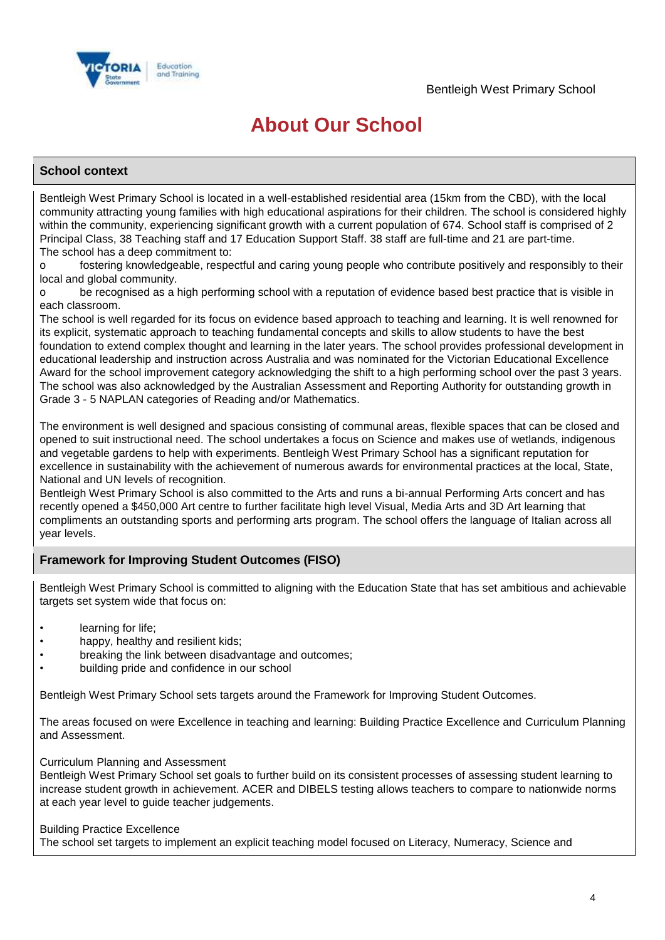

## **About Our School**

## **School context**

Bentleigh West Primary School is located in a well-established residential area (15km from the CBD), with the local community attracting young families with high educational aspirations for their children. The school is considered highly within the community, experiencing significant growth with a current population of 674. School staff is comprised of 2 Principal Class, 38 Teaching staff and 17 Education Support Staff. 38 staff are full-time and 21 are part-time. The school has a deep commitment to:

o fostering knowledgeable, respectful and caring young people who contribute positively and responsibly to their local and global community.

o be recognised as a high performing school with a reputation of evidence based best practice that is visible in each classroom.

The school is well regarded for its focus on evidence based approach to teaching and learning. It is well renowned for its explicit, systematic approach to teaching fundamental concepts and skills to allow students to have the best foundation to extend complex thought and learning in the later years. The school provides professional development in educational leadership and instruction across Australia and was nominated for the Victorian Educational Excellence Award for the school improvement category acknowledging the shift to a high performing school over the past 3 years. The school was also acknowledged by the Australian Assessment and Reporting Authority for outstanding growth in Grade 3 - 5 NAPLAN categories of Reading and/or Mathematics.

The environment is well designed and spacious consisting of communal areas, flexible spaces that can be closed and opened to suit instructional need. The school undertakes a focus on Science and makes use of wetlands, indigenous and vegetable gardens to help with experiments. Bentleigh West Primary School has a significant reputation for excellence in sustainability with the achievement of numerous awards for environmental practices at the local, State, National and UN levels of recognition.

Bentleigh West Primary School is also committed to the Arts and runs a bi-annual Performing Arts concert and has recently opened a \$450,000 Art centre to further facilitate high level Visual, Media Arts and 3D Art learning that compliments an outstanding sports and performing arts program. The school offers the language of Italian across all year levels.

## **Framework for Improving Student Outcomes (FISO)**

Bentleigh West Primary School is committed to aligning with the Education State that has set ambitious and achievable targets set system wide that focus on:

- learning for life;
- happy, healthy and resilient kids;
- breaking the link between disadvantage and outcomes:
- building pride and confidence in our school

Bentleigh West Primary School sets targets around the Framework for Improving Student Outcomes.

The areas focused on were Excellence in teaching and learning: Building Practice Excellence and Curriculum Planning and Assessment.

### Curriculum Planning and Assessment

Bentleigh West Primary School set goals to further build on its consistent processes of assessing student learning to increase student growth in achievement. ACER and DIBELS testing allows teachers to compare to nationwide norms at each year level to guide teacher judgements.

### Building Practice Excellence

The school set targets to implement an explicit teaching model focused on Literacy, Numeracy, Science and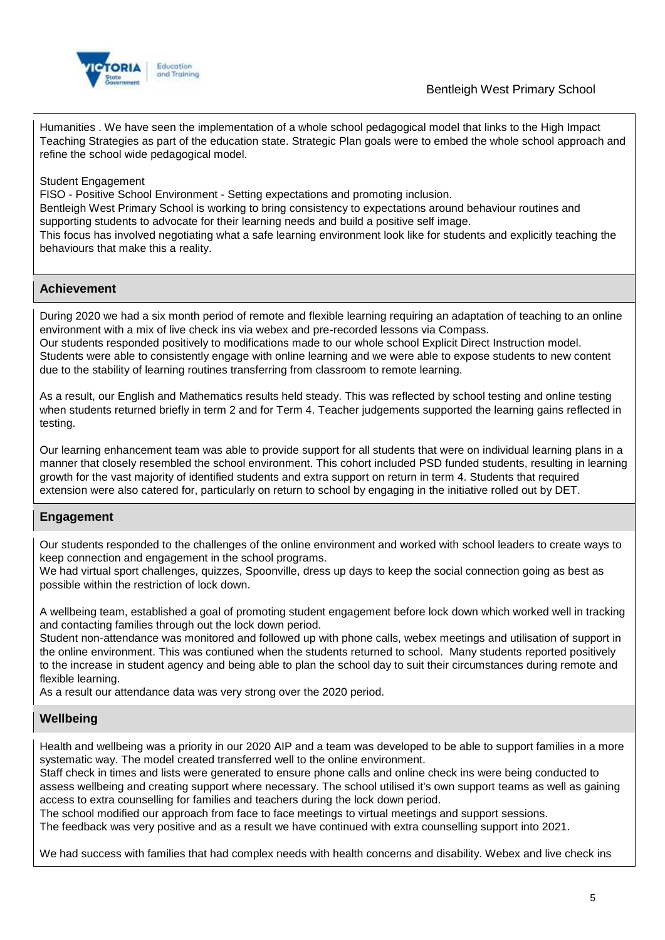

Humanities . We have seen the implementation of a whole school pedagogical model that links to the High Impact Teaching Strategies as part of the education state. Strategic Plan goals were to embed the whole school approach and refine the school wide pedagogical model.

## Student Engagement

FISO - Positive School Environment - Setting expectations and promoting inclusion.

Bentleigh West Primary School is working to bring consistency to expectations around behaviour routines and supporting students to advocate for their learning needs and build a positive self image.

This focus has involved negotiating what a safe learning environment look like for students and explicitly teaching the behaviours that make this a reality.

## **Achievement**

During 2020 we had a six month period of remote and flexible learning requiring an adaptation of teaching to an online environment with a mix of live check ins via webex and pre-recorded lessons via Compass. Our students responded positively to modifications made to our whole school Explicit Direct Instruction model. Students were able to consistently engage with online learning and we were able to expose students to new content due to the stability of learning routines transferring from classroom to remote learning.

As a result, our English and Mathematics results held steady. This was reflected by school testing and online testing when students returned briefly in term 2 and for Term 4. Teacher judgements supported the learning gains reflected in testing.

Our learning enhancement team was able to provide support for all students that were on individual learning plans in a manner that closely resembled the school environment. This cohort included PSD funded students, resulting in learning growth for the vast majority of identified students and extra support on return in term 4. Students that required extension were also catered for, particularly on return to school by engaging in the initiative rolled out by DET.

## **Engagement**

Our students responded to the challenges of the online environment and worked with school leaders to create ways to keep connection and engagement in the school programs.

We had virtual sport challenges, quizzes, Spoonville, dress up days to keep the social connection going as best as possible within the restriction of lock down.

A wellbeing team, established a goal of promoting student engagement before lock down which worked well in tracking and contacting families through out the lock down period.

Student non-attendance was monitored and followed up with phone calls, webex meetings and utilisation of support in the online environment. This was contiuned when the students returned to school. Many students reported positively to the increase in student agency and being able to plan the school day to suit their circumstances during remote and flexible learning.

As a result our attendance data was very strong over the 2020 period.

## **Wellbeing**

Health and wellbeing was a priority in our 2020 AIP and a team was developed to be able to support families in a more systematic way. The model created transferred well to the online environment.

Staff check in times and lists were generated to ensure phone calls and online check ins were being conducted to assess wellbeing and creating support where necessary. The school utilised it's own support teams as well as gaining access to extra counselling for families and teachers during the lock down period.

The school modified our approach from face to face meetings to virtual meetings and support sessions.

The feedback was very positive and as a result we have continued with extra counselling support into 2021.

We had success with families that had complex needs with health concerns and disability. Webex and live check ins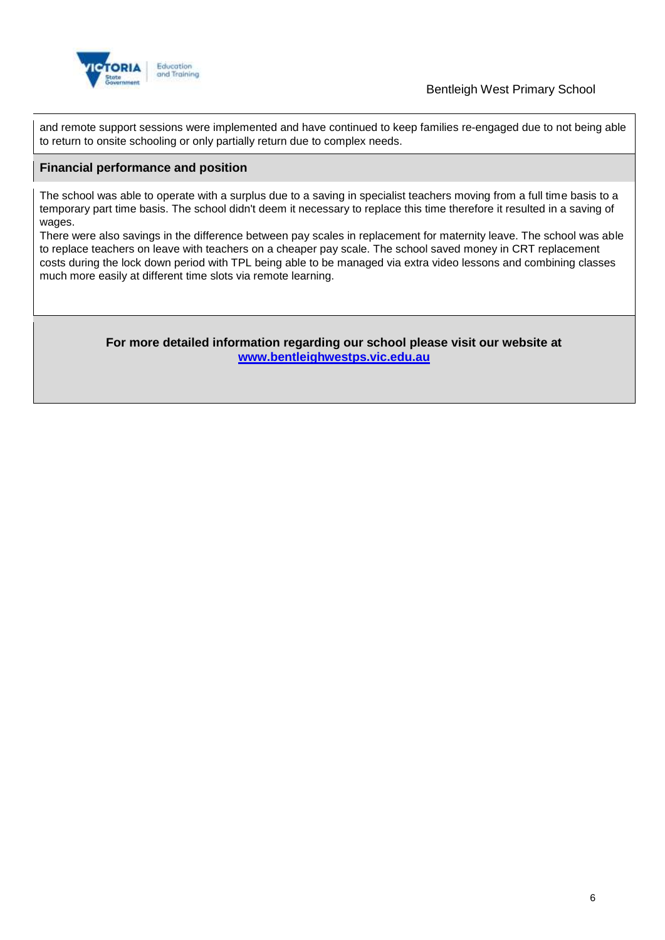

and remote support sessions were implemented and have continued to keep families re-engaged due to not being able to return to onsite schooling or only partially return due to complex needs.

## **Financial performance and position**

The school was able to operate with a surplus due to a saving in specialist teachers moving from a full time basis to a temporary part time basis. The school didn't deem it necessary to replace this time therefore it resulted in a saving of wages.

There were also savings in the difference between pay scales in replacement for maternity leave. The school was able to replace teachers on leave with teachers on a cheaper pay scale. The school saved money in CRT replacement costs during the lock down period with TPL being able to be managed via extra video lessons and combining classes much more easily at different time slots via remote learning.

> **For more detailed information regarding our school please visit our website at [www.bentleighwestps.vic.edu.au](file:///C:/Users/02496065/Downloads/www.bentleighwestps.vic.edu.au)**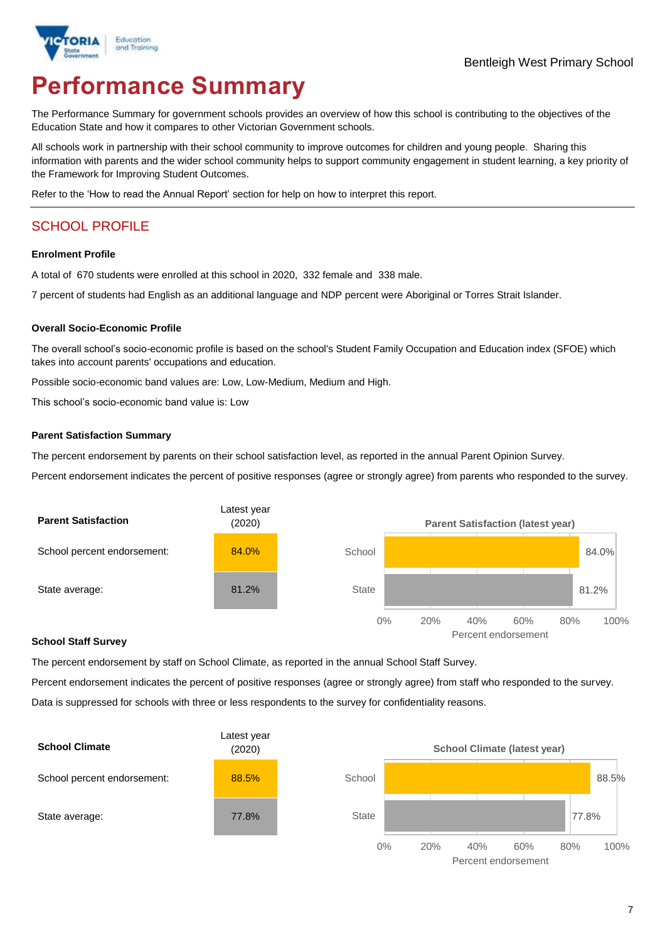

# **Performance Summary**

The Performance Summary for government schools provides an overview of how this school is contributing to the objectives of the Education State and how it compares to other Victorian Government schools.

All schools work in partnership with their school community to improve outcomes for children and young people. Sharing this information with parents and the wider school community helps to support community engagement in student learning, a key priority of the Framework for Improving Student Outcomes.

Refer to the 'How to read the Annual Report' section for help on how to interpret this report.

## SCHOOL PROFILE

#### **Enrolment Profile**

A total of 670 students were enrolled at this school in 2020, 332 female and 338 male.

7 percent of students had English as an additional language and NDP percent were Aboriginal or Torres Strait Islander.

#### **Overall Socio-Economic Profile**

The overall school's socio-economic profile is based on the school's Student Family Occupation and Education index (SFOE) which takes into account parents' occupations and education.

Possible socio-economic band values are: Low, Low-Medium, Medium and High.

This school's socio-economic band value is: Low

#### **Parent Satisfaction Summary**

The percent endorsement by parents on their school satisfaction level, as reported in the annual Parent Opinion Survey.

Percent endorsement indicates the percent of positive responses (agree or strongly agree) from parents who responded to the survey.



#### **School Staff Survey**

The percent endorsement by staff on School Climate, as reported in the annual School Staff Survey.

Percent endorsement indicates the percent of positive responses (agree or strongly agree) from staff who responded to the survey. Data is suppressed for schools with three or less respondents to the survey for confidentiality reasons.



Percent endorsement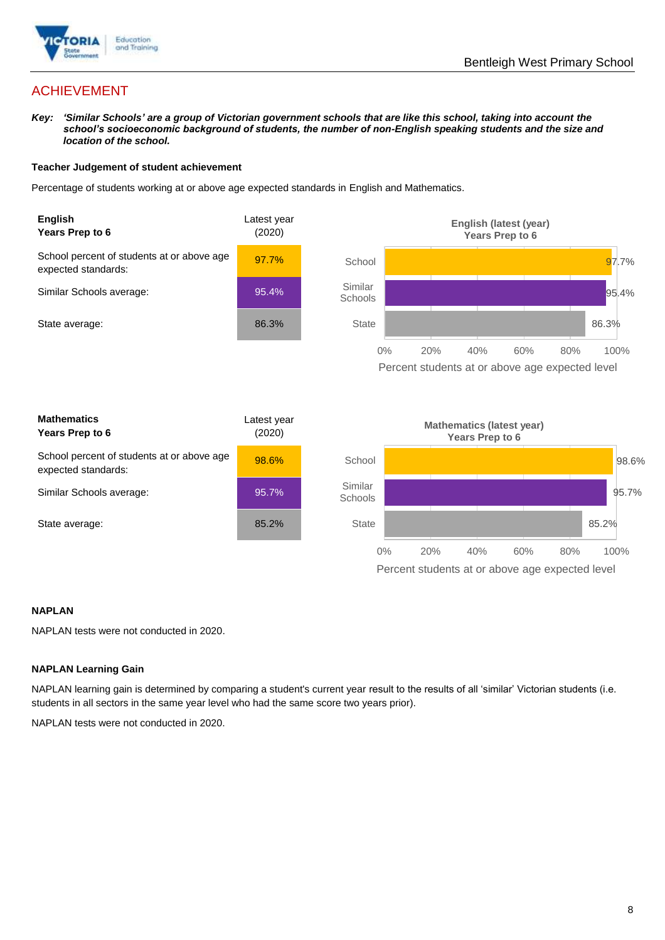

## ACHIEVEMENT

*Key: 'Similar Schools' are a group of Victorian government schools that are like this school, taking into account the school's socioeconomic background of students, the number of non-English speaking students and the size and location of the school.*

### **Teacher Judgement of student achievement**

Percentage of students working at or above age expected standards in English and Mathematics.



### **NAPLAN**

NAPLAN tests were not conducted in 2020.

### **NAPLAN Learning Gain**

NAPLAN learning gain is determined by comparing a student's current year result to the results of all 'similar' Victorian students (i.e. students in all sectors in the same year level who had the same score two years prior).

NAPLAN tests were not conducted in 2020.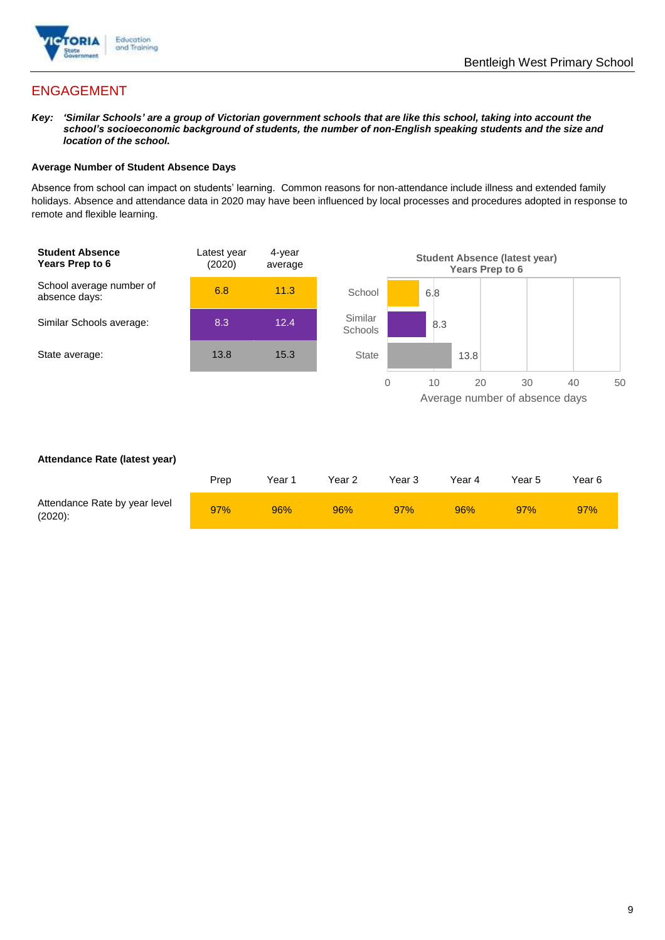

## ENGAGEMENT

*Key: 'Similar Schools' are a group of Victorian government schools that are like this school, taking into account the school's socioeconomic background of students, the number of non-English speaking students and the size and location of the school.*

### **Average Number of Student Absence Days**

Absence from school can impact on students' learning. Common reasons for non-attendance include illness and extended family holidays. Absence and attendance data in 2020 may have been influenced by local processes and procedures adopted in response to remote and flexible learning.



#### **Attendance Rate (latest year)**

|                                             | Prep | Year 1 | Year 2 | Year 3 | Year 4 | Year 5 | Year 6 |
|---------------------------------------------|------|--------|--------|--------|--------|--------|--------|
| Attendance Rate by year level<br>$(2020)$ : | 97%  | 96%    | 96%    | 97%    | 96%    | 97%    | 97%    |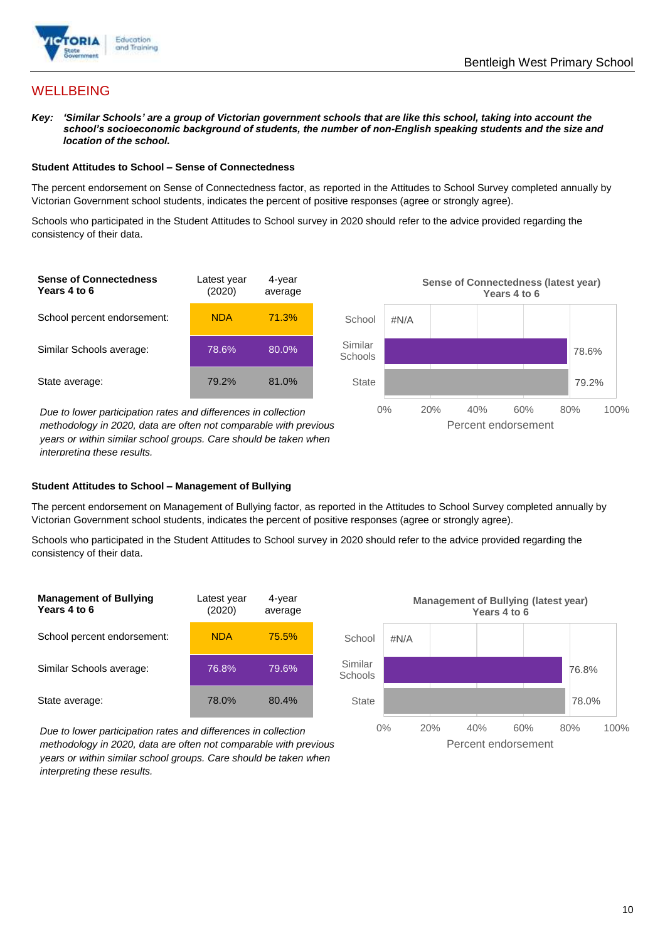

## **WELLBEING**

*Key: 'Similar Schools' are a group of Victorian government schools that are like this school, taking into account the school's socioeconomic background of students, the number of non-English speaking students and the size and location of the school.*

#### **Student Attitudes to School – Sense of Connectedness**

The percent endorsement on Sense of Connectedness factor, as reported in the Attitudes to School Survey completed annually by Victorian Government school students, indicates the percent of positive responses (agree or strongly agree).

Schools who participated in the Student Attitudes to School survey in 2020 should refer to the advice provided regarding the consistency of their data.



*methodology in 2020, data are often not comparable with previous years or within similar school groups. Care should be taken when interpreting these results.*

### **Student Attitudes to School – Management of Bullying**

The percent endorsement on Management of Bullying factor, as reported in the Attitudes to School Survey completed annually by Victorian Government school students, indicates the percent of positive responses (agree or strongly agree).

Schools who participated in the Student Attitudes to School survey in 2020 should refer to the advice provided regarding the consistency of their data.



*Due to lower participation rates and differences in collection methodology in 2020, data are often not comparable with previous years or within similar school groups. Care should be taken when interpreting these results.*

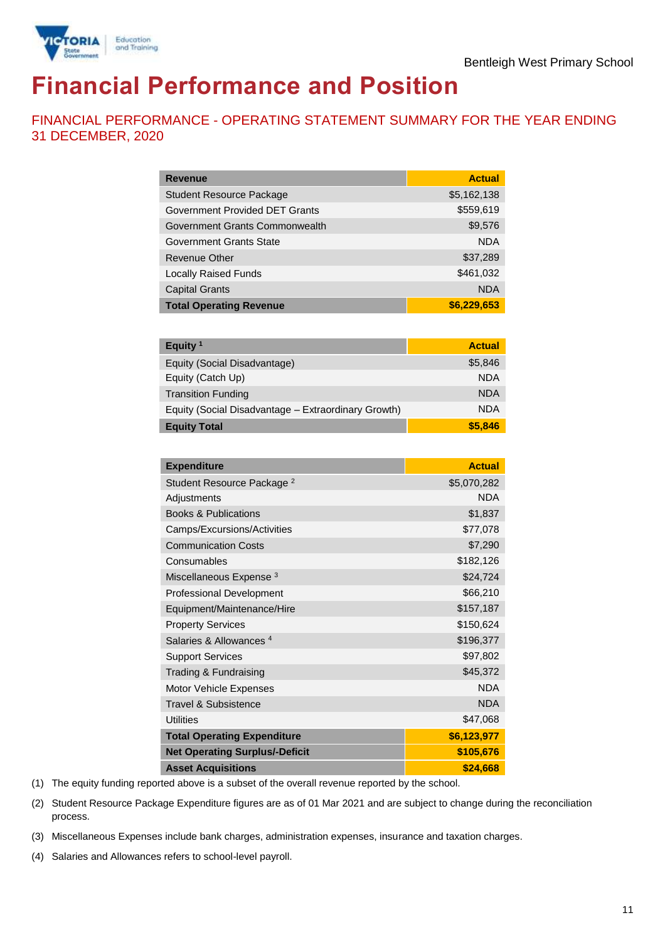

# **Financial Performance and Position**

FINANCIAL PERFORMANCE - OPERATING STATEMENT SUMMARY FOR THE YEAR ENDING 31 DECEMBER, 2020

| <b>Revenue</b>                  | <b>Actual</b> |
|---------------------------------|---------------|
| <b>Student Resource Package</b> | \$5,162,138   |
| Government Provided DET Grants  | \$559,619     |
| Government Grants Commonwealth  | \$9,576       |
| Government Grants State         | <b>NDA</b>    |
| Revenue Other                   | \$37,289      |
| <b>Locally Raised Funds</b>     | \$461,032     |
| <b>Capital Grants</b>           | <b>NDA</b>    |
| <b>Total Operating Revenue</b>  | \$6,229,653   |

| Equity <sup>1</sup>                                 | <b>Actual</b> |
|-----------------------------------------------------|---------------|
| Equity (Social Disadvantage)                        | \$5,846       |
| Equity (Catch Up)                                   | <b>NDA</b>    |
| <b>Transition Funding</b>                           | <b>NDA</b>    |
| Equity (Social Disadvantage - Extraordinary Growth) | <b>NDA</b>    |
| <b>Equity Total</b>                                 | \$5,846       |

| <b>Expenditure</b>                    | <b>Actual</b> |
|---------------------------------------|---------------|
| Student Resource Package <sup>2</sup> | \$5,070,282   |
| Adjustments                           | <b>NDA</b>    |
| <b>Books &amp; Publications</b>       | \$1,837       |
| Camps/Excursions/Activities           | \$77,078      |
| <b>Communication Costs</b>            | \$7,290       |
| Consumables                           | \$182,126     |
| Miscellaneous Expense <sup>3</sup>    | \$24,724      |
| <b>Professional Development</b>       | \$66,210      |
| Equipment/Maintenance/Hire            | \$157,187     |
| <b>Property Services</b>              | \$150,624     |
| Salaries & Allowances <sup>4</sup>    | \$196,377     |
| <b>Support Services</b>               | \$97,802      |
| Trading & Fundraising                 | \$45,372      |
| Motor Vehicle Expenses                | <b>NDA</b>    |
| <b>Travel &amp; Subsistence</b>       | <b>NDA</b>    |
| <b>Utilities</b>                      | \$47,068      |
| <b>Total Operating Expenditure</b>    | \$6,123,977   |
| <b>Net Operating Surplus/-Deficit</b> | \$105,676     |
| <b>Asset Acquisitions</b>             | \$24,668      |

(1) The equity funding reported above is a subset of the overall revenue reported by the school.

(2) Student Resource Package Expenditure figures are as of 01 Mar 2021 and are subject to change during the reconciliation process.

(3) Miscellaneous Expenses include bank charges, administration expenses, insurance and taxation charges.

(4) Salaries and Allowances refers to school-level payroll.